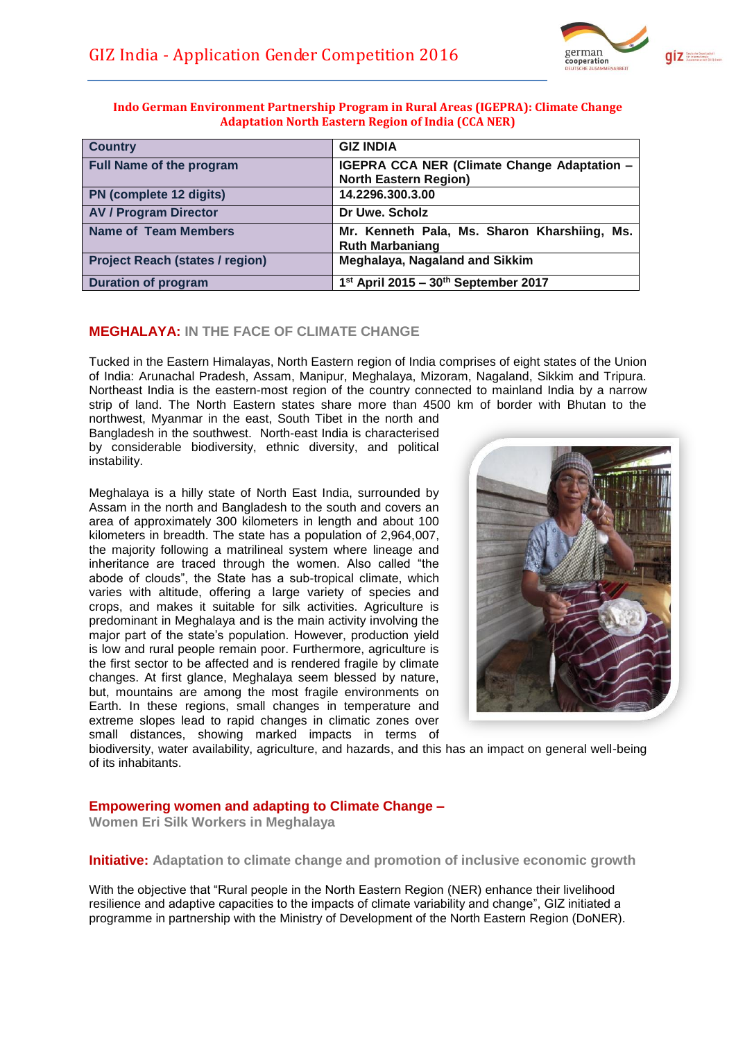

| <b>Country</b>                         | <b>GIZ INDIA</b>                                                                   |
|----------------------------------------|------------------------------------------------------------------------------------|
| <b>Full Name of the program</b>        | <b>IGEPRA CCA NER (Climate Change Adaptation -</b><br><b>North Eastern Region)</b> |
| PN (complete 12 digits)                | 14.2296.300.3.00                                                                   |
| <b>AV / Program Director</b>           | Dr Uwe, Scholz                                                                     |
| <b>Name of Team Members</b>            | Mr. Kenneth Pala, Ms. Sharon Kharshiing, Ms.<br><b>Ruth Marbaniang</b>             |
| <b>Project Reach (states / region)</b> | Meghalaya, Nagaland and Sikkim                                                     |
| <b>Duration of program</b>             | $1st$ April 2015 – $30th$ September 2017                                           |

# **MEGHALAYA: IN THE FACE OF CLIMATE CHANGE**

Tucked in the Eastern Himalayas, North Eastern region of India comprises of eight states of the Union of India: Arunachal Pradesh, Assam, Manipur, Meghalaya, Mizoram, Nagaland, Sikkim and Tripura. Northeast India is the eastern-most region of the country connected to mainland India by a narrow strip of land. The North Eastern states share more than 4500 km of border with Bhutan to the

northwest, Myanmar in the east, South Tibet in the north and Bangladesh in the southwest. North-east India is characterised by considerable biodiversity, ethnic diversity, and political instability.

Meghalaya is a hilly state of North East India, surrounded by Assam in the north and Bangladesh to the south and covers an area of approximately 300 kilometers in length and about 100 kilometers in breadth. The state has a population of 2,964,007, the majority following a matrilineal system where lineage and inheritance are traced through the women. Also called "the abode of clouds", the State has a sub-tropical climate, which varies with altitude, offering a large variety of species and crops, and makes it suitable for silk activities. Agriculture is predominant in Meghalaya and is the main activity involving the major part of the state's population. However, production yield is low and rural people remain poor. Furthermore, agriculture is the first sector to be affected and is rendered fragile by climate changes. At first glance, Meghalaya seem blessed by nature, but, mountains are among the most fragile environments on Earth. In these regions, small changes in temperature and extreme slopes lead to rapid changes in climatic zones over small distances, showing marked impacts in terms of



biodiversity, water availability, agriculture, and hazards, and this has an impact on general well-being of its inhabitants.

# **Empowering women and adapting to Climate Change –**

**Women Eri Silk Workers in Meghalaya**

**Initiative: Adaptation to climate change and promotion of inclusive economic growth** 

With the objective that "Rural people in the North Eastern Region (NER) enhance their livelihood resilience and adaptive capacities to the impacts of climate variability and change", GIZ initiated a programme in partnership with the Ministry of Development of the North Eastern Region (DoNER).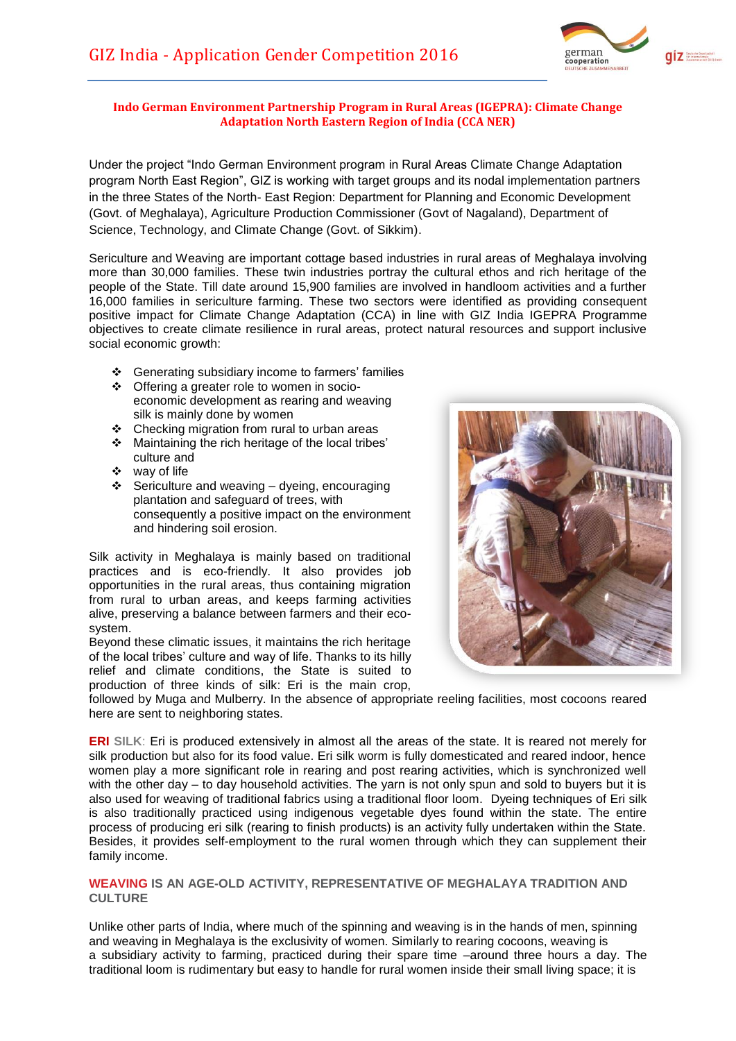

Under the project "Indo German Environment program in Rural Areas Climate Change Adaptation program North East Region", GIZ is working with target groups and its nodal implementation partners in the three States of the North- East Region: Department for Planning and Economic Development (Govt. of Meghalaya), Agriculture Production Commissioner (Govt of Nagaland), Department of Science, Technology, and Climate Change (Govt. of Sikkim).

Sericulture and Weaving are important cottage based industries in rural areas of Meghalaya involving more than 30,000 families. These twin industries portray the cultural ethos and rich heritage of the people of the State. Till date around 15,900 families are involved in handloom activities and a further 16,000 families in sericulture farming. These two sectors were identified as providing consequent positive impact for Climate Change Adaptation (CCA) in line with GIZ India IGEPRA Programme objectives to create climate resilience in rural areas, protect natural resources and support inclusive social economic growth:

- Generating subsidiary income to farmers' families
- Offering a greater role to women in socioeconomic development as rearing and weaving silk is mainly done by women
- Checking migration from rural to urban areas
- \* Maintaining the rich heritage of the local tribes' culture and
- ❖ way of life
- $\div$  Sericulture and weaving dyeing, encouraging plantation and safeguard of trees, with consequently a positive impact on the environment and hindering soil erosion.

Silk activity in Meghalaya is mainly based on traditional practices and is eco-friendly. It also provides job opportunities in the rural areas, thus containing migration from rural to urban areas, and keeps farming activities alive, preserving a balance between farmers and their ecosystem.

Beyond these climatic issues, it maintains the rich heritage of the local tribes' culture and way of life. Thanks to its hilly relief and climate conditions, the State is suited to production of three kinds of silk: Eri is the main crop,



followed by Muga and Mulberry. In the absence of appropriate reeling facilities, most cocoons reared here are sent to neighboring states.

**ERI SILK**: Eri is produced extensively in almost all the areas of the state. It is reared not merely for silk production but also for its food value. Eri silk worm is fully domesticated and reared indoor, hence women play a more significant role in rearing and post rearing activities, which is synchronized well with the other day – to day household activities. The yarn is not only spun and sold to buyers but it is also used for weaving of traditional fabrics using a traditional floor loom. Dyeing techniques of Eri silk is also traditionally practiced using indigenous vegetable dyes found within the state. The entire process of producing eri silk (rearing to finish products) is an activity fully undertaken within the State. Besides, it provides self-employment to the rural women through which they can supplement their family income.

#### **WEAVING IS AN AGE-OLD ACTIVITY, REPRESENTATIVE OF MEGHALAYA TRADITION AND CULTURE**

Unlike other parts of India, where much of the spinning and weaving is in the hands of men, spinning and weaving in Meghalaya is the exclusivity of women. Similarly to rearing cocoons, weaving is a subsidiary activity to farming, practiced during their spare time –around three hours a day. The traditional loom is rudimentary but easy to handle for rural women inside their small living space; it is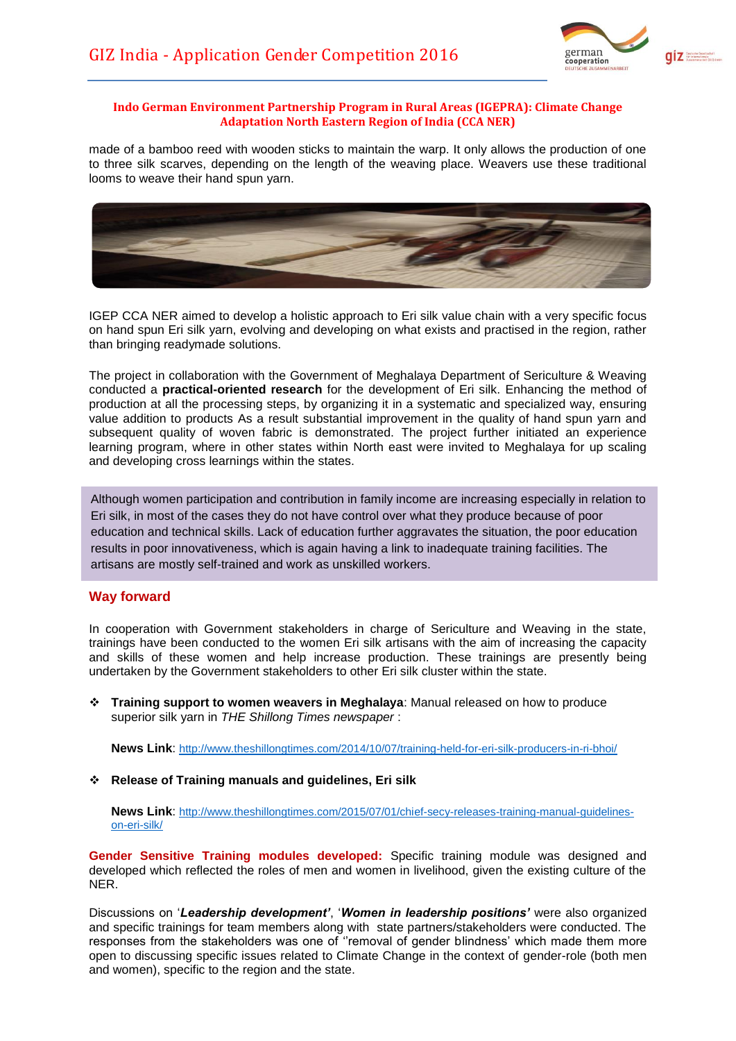

made of a bamboo reed with wooden sticks to maintain the warp. It only allows the production of one to three silk scarves, depending on the length of the weaving place. Weavers use these traditional looms to weave their hand spun yarn.



IGEP CCA NER aimed to develop a holistic approach to Eri silk value chain with a very specific focus on hand spun Eri silk yarn, evolving and developing on what exists and practised in the region, rather than bringing readymade solutions.

The project in collaboration with the Government of Meghalaya Department of Sericulture & Weaving conducted a **practical-oriented research** for the development of Eri silk. Enhancing the method of production at all the processing steps, by organizing it in a systematic and specialized way, ensuring value addition to products As a result substantial improvement in the quality of hand spun yarn and subsequent quality of woven fabric is demonstrated. The project further initiated an experience learning program, where in other states within North east were invited to Meghalaya for up scaling and developing cross learnings within the states.

Although women participation and contribution in family income are increasing especially in relation to Eri silk, in most of the cases they do not have control over what they produce because of poor education and technical skills. Lack of education further aggravates the situation, the poor education results in poor innovativeness, which is again having a link to inadequate training facilities. The artisans are mostly self-trained and work as unskilled workers.

## **Way forward**

In cooperation with Government stakeholders in charge of Sericulture and Weaving in the state, trainings have been conducted to the women Eri silk artisans with the aim of increasing the capacity and skills of these women and help increase production. These trainings are presently being undertaken by the Government stakeholders to other Eri silk cluster within the state.

 **Training support to women weavers in Meghalaya**: Manual released on how to produce superior silk yarn in *THE Shillong Times newspaper* :

**News Link**: [http://www.theshillongtimes.com/2014](http://www.theshillongtimes.com/201)/10/07/training-held-for-eri-silk-producers-in-ri-bhoi/

**Release of Training manuals and guidelines, Eri silk**

**News Link**: [http://www.theshillongtimes.com/2015/07/01/chief-secy-releases-training-manual-guidelines](http://www.theshillongtimes.com/2015/07/01/chief-secy-releases-training-manual-guidelines-on-eri-silk/)[on-eri-silk/](http://www.theshillongtimes.com/2015/07/01/chief-secy-releases-training-manual-guidelines-on-eri-silk/)

**Gender Sensitive Training modules developed:** Specific training module was designed and developed which reflected the roles of men and women in livelihood, given the existing culture of the NER.

Discussions on '*Leadership development'*, '*Women in leadership positions'* were also organized and specific trainings for team members along with state partners/stakeholders were conducted. The responses from the stakeholders was one of ''removal of gender blindness' which made them more open to discussing specific issues related to Climate Change in the context of gender-role (both men and women), specific to the region and the state.